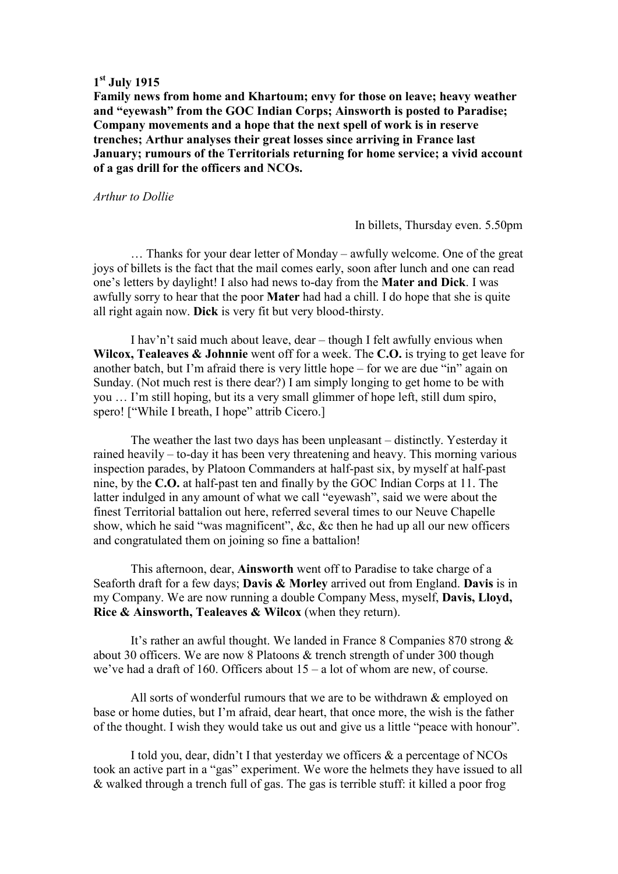# **1 st July 1915**

**Family news from home and Khartoum; envy for those on leave; heavy weather and "eyewash" from the GOC Indian Corps; Ainsworth is posted to Paradise; Company movements and a hope that the next spell of work is in reserve trenches; Arthur analyses their great losses since arriving in France last January; rumours of the Territorials returning for home service; a vivid account of a gas drill for the officers and NCOs.** 

*Arthur to Dollie* 

In billets, Thursday even. 5.50pm

 … Thanks for your dear letter of Monday – awfully welcome. One of the great joys of billets is the fact that the mail comes early, soon after lunch and one can read one's letters by daylight! I also had news to-day from the **Mater and Dick**. I was awfully sorry to hear that the poor **Mater** had had a chill. I do hope that she is quite all right again now. **Dick** is very fit but very blood-thirsty.

 I hav'n't said much about leave, dear – though I felt awfully envious when **Wilcox, Tealeaves & Johnnie** went off for a week. The **C.O.** is trying to get leave for another batch, but I'm afraid there is very little hope – for we are due "in" again on Sunday. (Not much rest is there dear?) I am simply longing to get home to be with you … I'm still hoping, but its a very small glimmer of hope left, still dum spiro, spero! ["While I breath, I hope" attrib Cicero.]

 The weather the last two days has been unpleasant – distinctly. Yesterday it rained heavily – to-day it has been very threatening and heavy. This morning various inspection parades, by Platoon Commanders at half-past six, by myself at half-past nine, by the **C.O.** at half-past ten and finally by the GOC Indian Corps at 11. The latter indulged in any amount of what we call "eyewash", said we were about the finest Territorial battalion out here, referred several times to our Neuve Chapelle show, which he said "was magnificent", &c, &c then he had up all our new officers and congratulated them on joining so fine a battalion!

 This afternoon, dear, **Ainsworth** went off to Paradise to take charge of a Seaforth draft for a few days; **Davis & Morley** arrived out from England. **Davis** is in my Company. We are now running a double Company Mess, myself, **Davis, Lloyd, Rice & Ainsworth, Tealeaves & Wilcox** (when they return).

 It's rather an awful thought. We landed in France 8 Companies 870 strong & about 30 officers. We are now 8 Platoons & trench strength of under 300 though we've had a draft of 160. Officers about 15 – a lot of whom are new, of course.

 All sorts of wonderful rumours that we are to be withdrawn & employed on base or home duties, but I'm afraid, dear heart, that once more, the wish is the father of the thought. I wish they would take us out and give us a little "peace with honour".

 I told you, dear, didn't I that yesterday we officers & a percentage of NCOs took an active part in a "gas" experiment. We wore the helmets they have issued to all & walked through a trench full of gas. The gas is terrible stuff: it killed a poor frog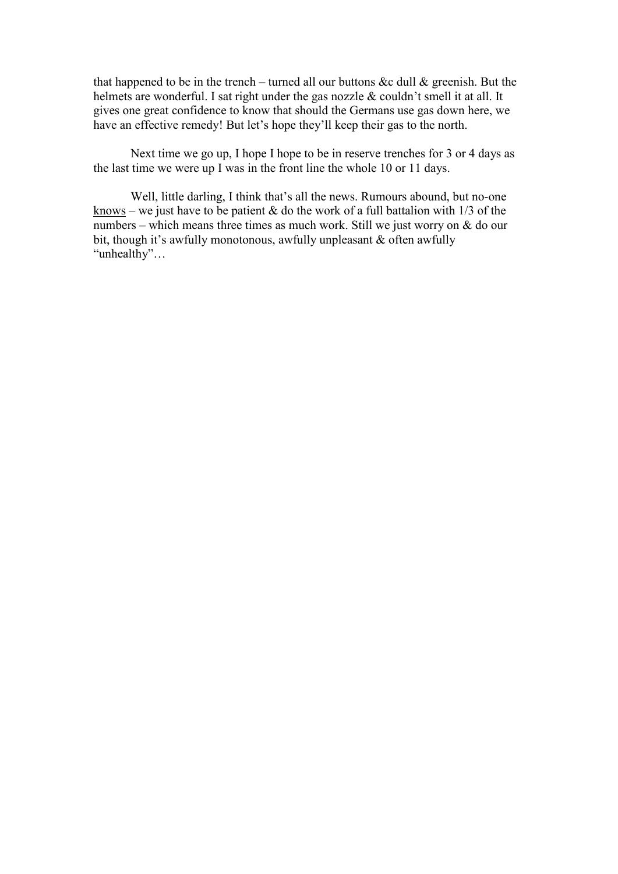that happened to be in the trench – turned all our buttons &c dull  $\&$  greenish. But the helmets are wonderful. I sat right under the gas nozzle & couldn't smell it at all. It gives one great confidence to know that should the Germans use gas down here, we have an effective remedy! But let's hope they'll keep their gas to the north.

 Next time we go up, I hope I hope to be in reserve trenches for 3 or 4 days as the last time we were up I was in the front line the whole 10 or 11 days.

 Well, little darling, I think that's all the news. Rumours abound, but no-one knows – we just have to be patient  $\&$  do the work of a full battalion with 1/3 of the numbers – which means three times as much work. Still we just worry on  $\&$  do our bit, though it's awfully monotonous, awfully unpleasant & often awfully "unhealthy"…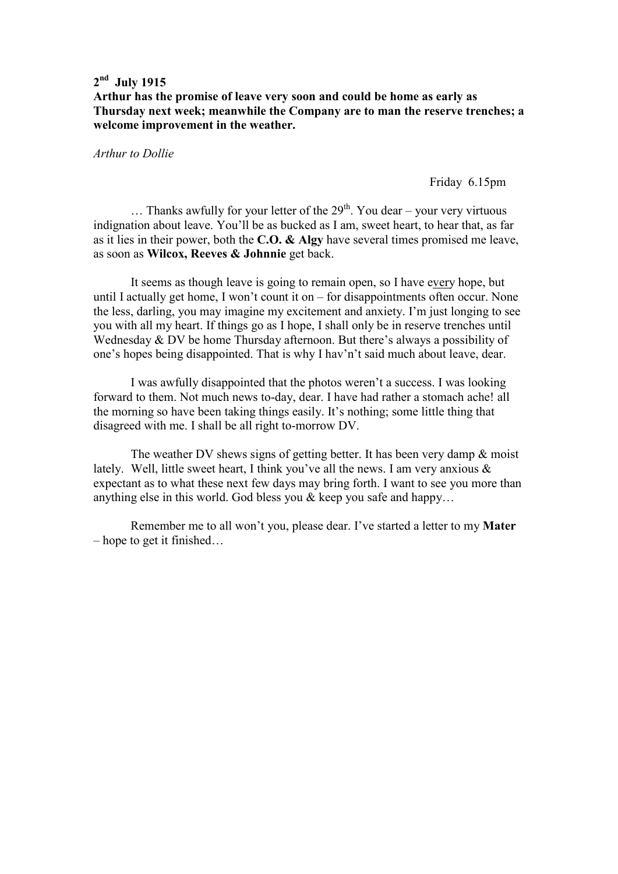# **2 nd July 1915**

### **Arthur has the promise of leave very soon and could be home as early as Thursday next week; meanwhile the Company are to man the reserve trenches; a welcome improvement in the weather.**

*Arthur to Dollie* 

Friday 6.15pm

 $\ldots$  Thanks awfully for your letter of the 29<sup>th</sup>. You dear – your very virtuous indignation about leave. You'll be as bucked as I am, sweet heart, to hear that, as far as it lies in their power, both the **C.O. & Algy** have several times promised me leave, as soon as **Wilcox, Reeves & Johnnie** get back.

 It seems as though leave is going to remain open, so I have every hope, but until I actually get home, I won't count it on – for disappointments often occur. None the less, darling, you may imagine my excitement and anxiety. I'm just longing to see you with all my heart. If things go as I hope, I shall only be in reserve trenches until Wednesday & DV be home Thursday afternoon. But there's always a possibility of one's hopes being disappointed. That is why I hav'n't said much about leave, dear.

 I was awfully disappointed that the photos weren't a success. I was looking forward to them. Not much news to-day, dear. I have had rather a stomach ache! all the morning so have been taking things easily. It's nothing; some little thing that disagreed with me. I shall be all right to-morrow DV.

The weather DV shews signs of getting better. It has been very damp & moist lately. Well, little sweet heart, I think you've all the news. I am very anxious & expectant as to what these next few days may bring forth. I want to see you more than anything else in this world. God bless you  $\&$  keep you safe and happy...

Remember me to all won't you, please dear. I've started a letter to my **Mater** – hope to get it finished…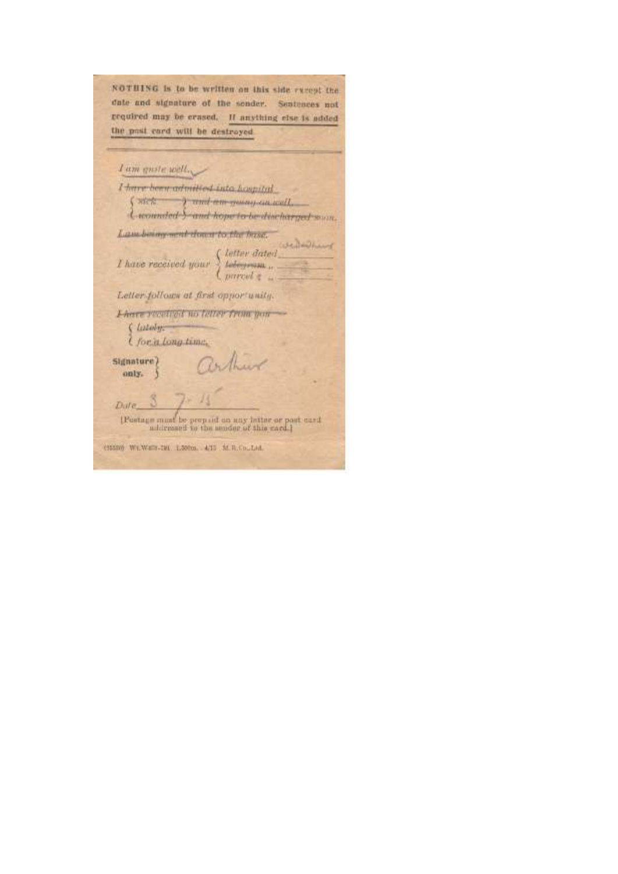| NOTHING is to be written on this side except the                                                     |
|------------------------------------------------------------------------------------------------------|
| date and signature of the sender. Sentences not<br>required may be crased. If anything cise is added |
| the post card will be destroyed.                                                                     |
|                                                                                                      |
| I am guste well.                                                                                     |
| I harrivern admitted into hospital.                                                                  |
| sich - I and am poonsy car wall.                                                                     |
| Lacounded J-and hope to be discharged with.                                                          |
| Law boomy wat down to the hist.                                                                      |
| are Daithan<br>I have received your \ letter dated                                                   |
| Letter follows at first opportunity.                                                                 |
| FACTE PERIOD NO ISITO TRIM YOU<br>Clutchy.                                                           |
| <i>I for a long time.</i>                                                                            |
| Where<br>Signature<br>only.                                                                          |
| Date                                                                                                 |
| [Postage must be prepaid on any intiac or post card<br>ashirmsed to the sender of this rand.)        |
| (35500 W), Wallr. 201. 1,500m. 4/15 M. R. Co., Ltd.                                                  |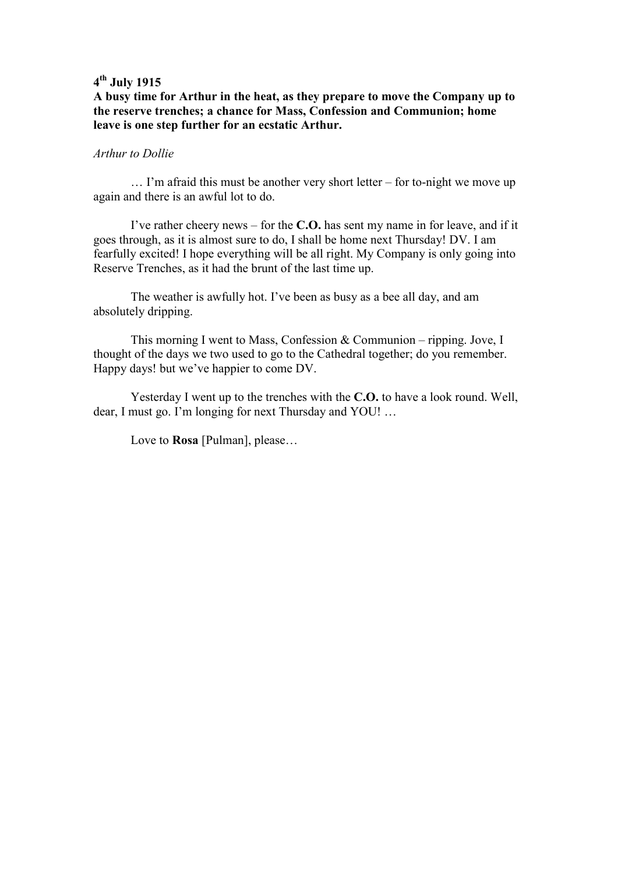### **A busy time for Arthur in the heat, as they prepare to move the Company up to the reserve trenches; a chance for Mass, Confession and Communion; home leave is one step further for an ecstatic Arthur.**

#### *Arthur to Dollie*

 … I'm afraid this must be another very short letter – for to-night we move up again and there is an awful lot to do.

 I've rather cheery news – for the **C.O.** has sent my name in for leave, and if it goes through, as it is almost sure to do, I shall be home next Thursday! DV. I am fearfully excited! I hope everything will be all right. My Company is only going into Reserve Trenches, as it had the brunt of the last time up.

 The weather is awfully hot. I've been as busy as a bee all day, and am absolutely dripping.

 This morning I went to Mass, Confession & Communion – ripping. Jove, I thought of the days we two used to go to the Cathedral together; do you remember. Happy days! but we've happier to come DV.

 Yesterday I went up to the trenches with the **C.O.** to have a look round. Well, dear, I must go. I'm longing for next Thursday and YOU! …

Love to **Rosa** [Pulman], please…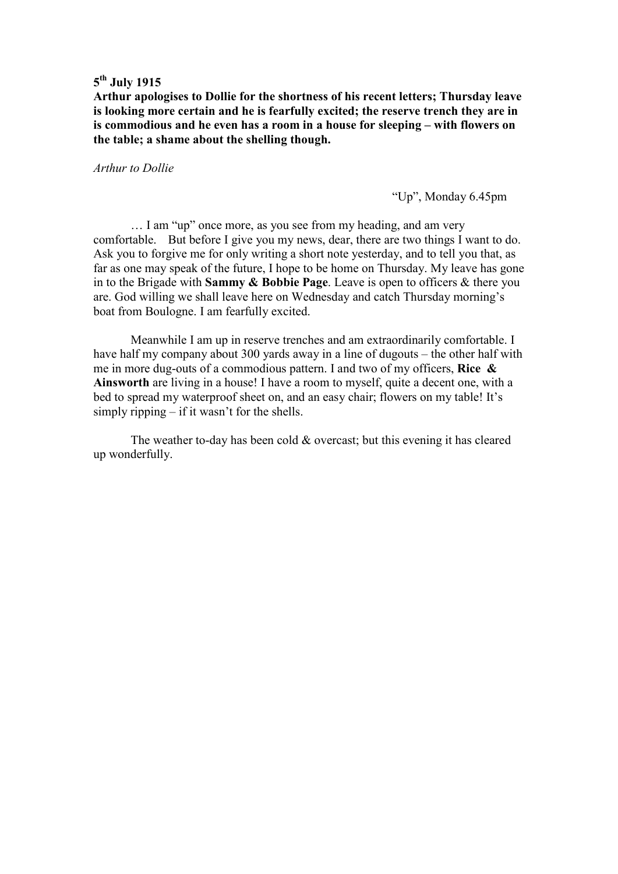**Arthur apologises to Dollie for the shortness of his recent letters; Thursday leave is looking more certain and he is fearfully excited; the reserve trench they are in is commodious and he even has a room in a house for sleeping – with flowers on the table; a shame about the shelling though.** 

*Arthur to Dollie*

"Up", Monday 6.45pm

 … I am "up" once more, as you see from my heading, and am very comfortable. But before I give you my news, dear, there are two things I want to do. Ask you to forgive me for only writing a short note yesterday, and to tell you that, as far as one may speak of the future, I hope to be home on Thursday. My leave has gone in to the Brigade with **Sammy & Bobbie Page**. Leave is open to officers & there you are. God willing we shall leave here on Wednesday and catch Thursday morning's boat from Boulogne. I am fearfully excited.

 Meanwhile I am up in reserve trenches and am extraordinarily comfortable. I have half my company about 300 yards away in a line of dugouts – the other half with me in more dug-outs of a commodious pattern. I and two of my officers, **Rice & Ainsworth** are living in a house! I have a room to myself, quite a decent one, with a bed to spread my waterproof sheet on, and an easy chair; flowers on my table! It's simply ripping – if it wasn't for the shells.

The weather to-day has been cold & overcast; but this evening it has cleared up wonderfully.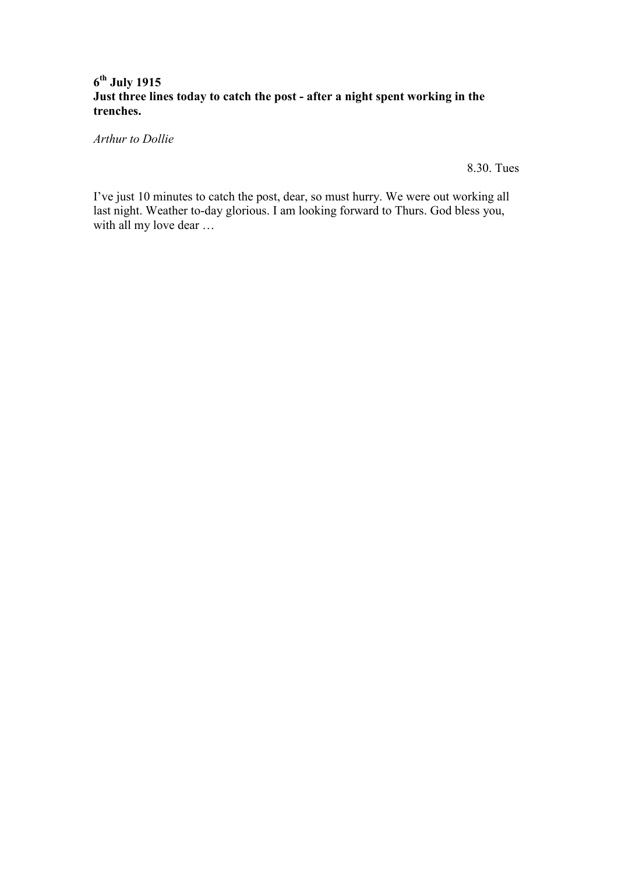### **6 th July 1915 Just three lines today to catch the post - after a night spent working in the trenches.**

*Arthur to Dollie* 

8.30. Tues

I've just 10 minutes to catch the post, dear, so must hurry. We were out working all last night. Weather to-day glorious. I am looking forward to Thurs. God bless you, with all my love dear ...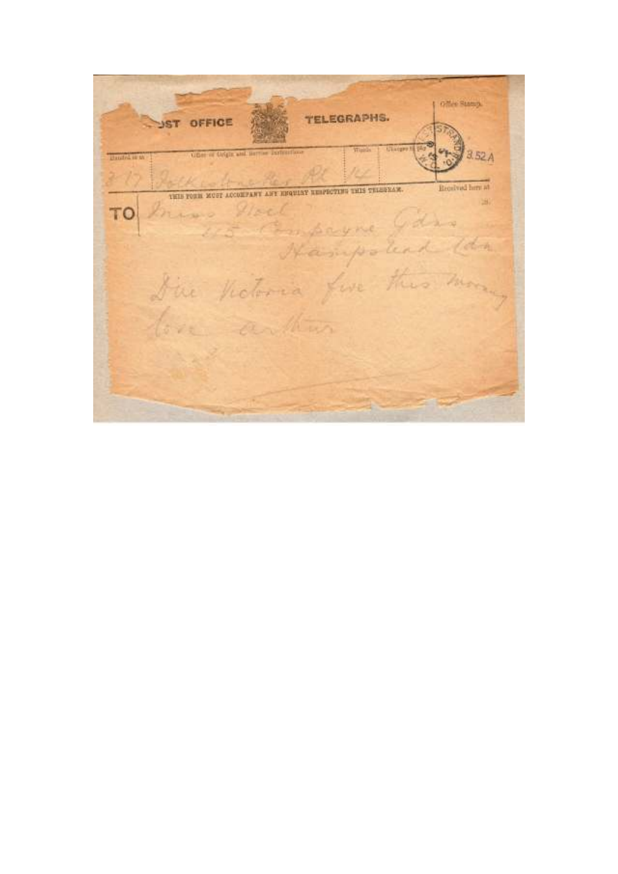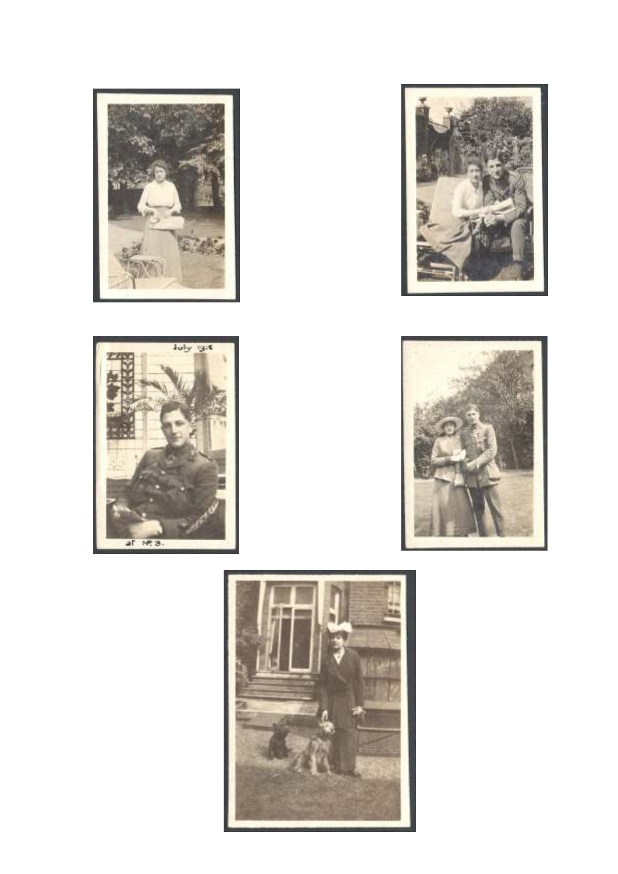







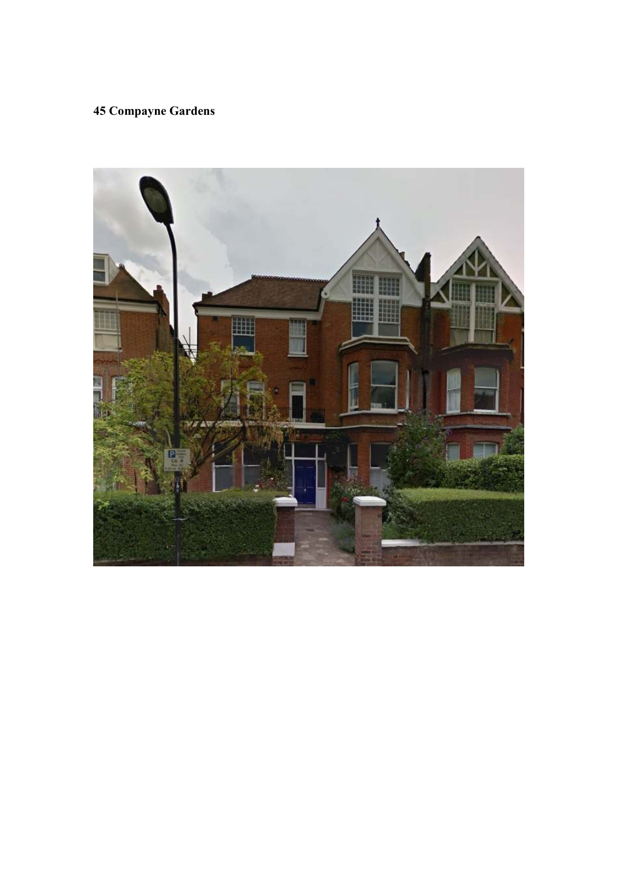# **45 Compayne Gardens**

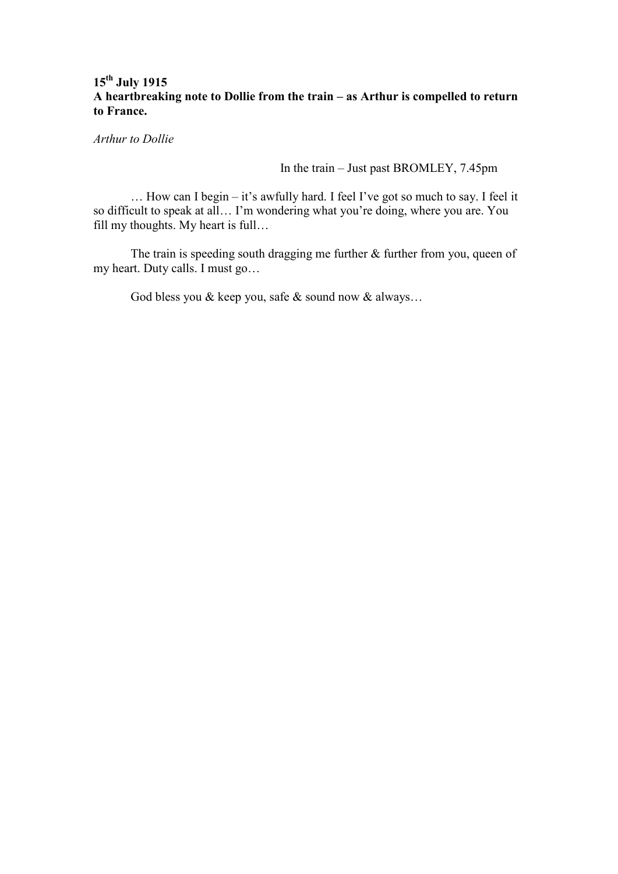# **15th July 1915 A heartbreaking note to Dollie from the train – as Arthur is compelled to return to France.**

*Arthur to Dollie* 

In the train – Just past BROMLEY, 7.45pm

 … How can I begin – it's awfully hard. I feel I've got so much to say. I feel it so difficult to speak at all… I'm wondering what you're doing, where you are. You fill my thoughts. My heart is full…

The train is speeding south dragging me further  $\&$  further from you, queen of my heart. Duty calls. I must go…

God bless you & keep you, safe & sound now & always…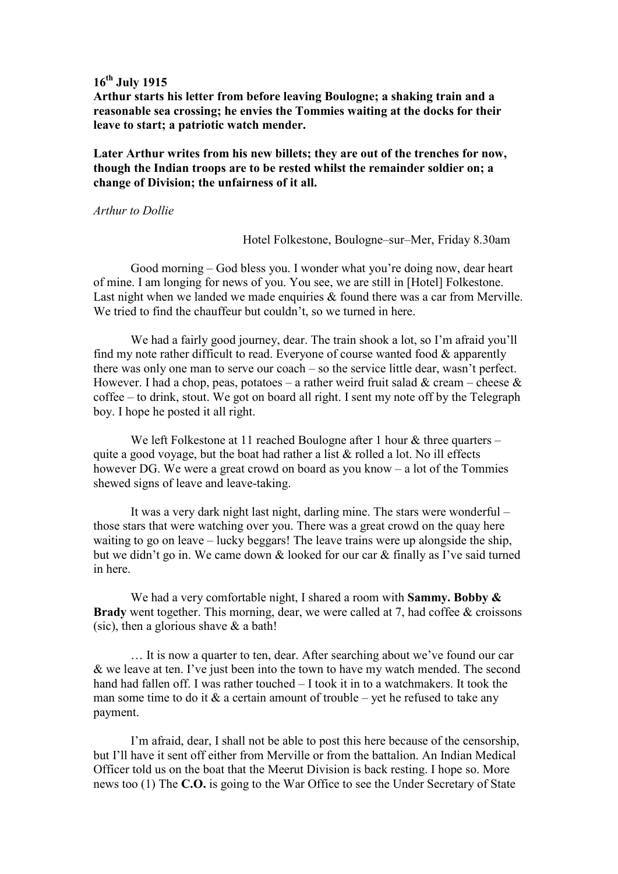**Arthur starts his letter from before leaving Boulogne; a shaking train and a reasonable sea crossing; he envies the Tommies waiting at the docks for their leave to start; a patriotic watch mender.** 

**Later Arthur writes from his new billets; they are out of the trenches for now, though the Indian troops are to be rested whilst the remainder soldier on; a change of Division; the unfairness of it all.** 

#### *Arthur to Dollie*

Hotel Folkestone, Boulogne–sur–Mer, Friday 8.30am

 Good morning – God bless you. I wonder what you're doing now, dear heart of mine. I am longing for news of you. You see, we are still in [Hotel] Folkestone. Last night when we landed we made enquiries & found there was a car from Merville. We tried to find the chauffeur but couldn't, so we turned in here.

We had a fairly good journey, dear. The train shook a lot, so I'm afraid you'll find my note rather difficult to read. Everyone of course wanted food & apparently there was only one man to serve our coach – so the service little dear, wasn't perfect. However. I had a chop, peas, potatoes – a rather weird fruit salad & cream – cheese  $\&$ coffee – to drink, stout. We got on board all right. I sent my note off by the Telegraph boy. I hope he posted it all right.

We left Folkestone at 11 reached Boulogne after 1 hour & three quarters – quite a good voyage, but the boat had rather a list  $\&$  rolled a lot. No ill effects however DG. We were a great crowd on board as you know – a lot of the Tommies shewed signs of leave and leave-taking.

 It was a very dark night last night, darling mine. The stars were wonderful – those stars that were watching over you. There was a great crowd on the quay here waiting to go on leave – lucky beggars! The leave trains were up alongside the ship, but we didn't go in. We came down & looked for our car & finally as I've said turned in here.

 We had a very comfortable night, I shared a room with **Sammy. Bobby & Brady** went together. This morning, dear, we were called at 7, had coffee & croissons (sic), then a glorious shave  $\&$  a bath!

 … It is now a quarter to ten, dear. After searching about we've found our car & we leave at ten. I've just been into the town to have my watch mended. The second hand had fallen off. I was rather touched – I took it in to a watchmakers. It took the man some time to do it  $\&$  a certain amount of trouble – yet he refused to take any payment.

 I'm afraid, dear, I shall not be able to post this here because of the censorship, but I'll have it sent off either from Merville or from the battalion. An Indian Medical Officer told us on the boat that the Meerut Division is back resting. I hope so. More news too (1) The **C.O.** is going to the War Office to see the Under Secretary of State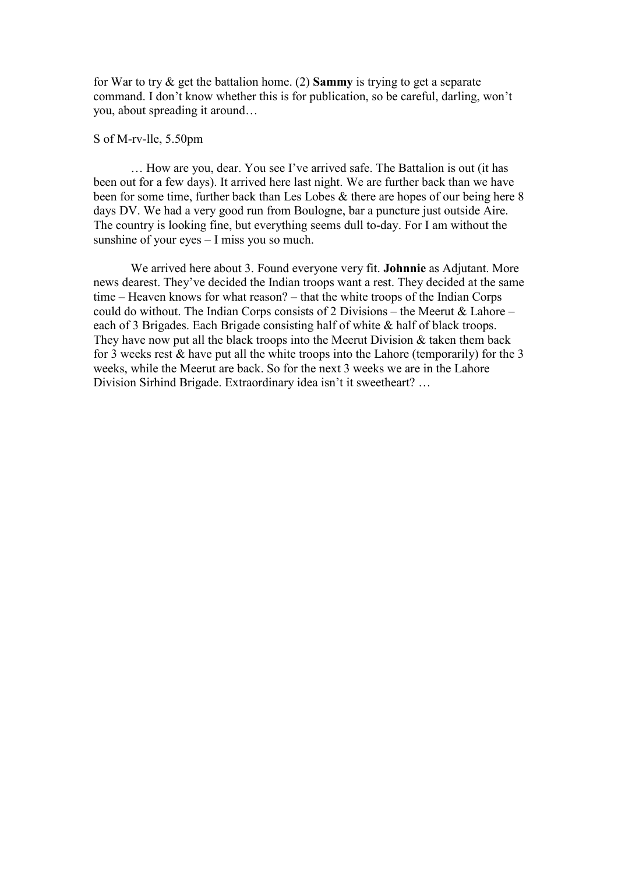for War to try & get the battalion home. (2) **Sammy** is trying to get a separate command. I don't know whether this is for publication, so be careful, darling, won't you, about spreading it around…

#### S of M-rv-lle, 5.50pm

 … How are you, dear. You see I've arrived safe. The Battalion is out (it has been out for a few days). It arrived here last night. We are further back than we have been for some time, further back than Les Lobes & there are hopes of our being here 8 days DV. We had a very good run from Boulogne, bar a puncture just outside Aire. The country is looking fine, but everything seems dull to-day. For I am without the sunshine of your eyes – I miss you so much.

 We arrived here about 3. Found everyone very fit. **Johnnie** as Adjutant. More news dearest. They've decided the Indian troops want a rest. They decided at the same time – Heaven knows for what reason? – that the white troops of the Indian Corps could do without. The Indian Corps consists of 2 Divisions – the Meerut & Lahore – each of 3 Brigades. Each Brigade consisting half of white & half of black troops. They have now put all the black troops into the Meerut Division & taken them back for 3 weeks rest  $\&$  have put all the white troops into the Lahore (temporarily) for the 3 weeks, while the Meerut are back. So for the next 3 weeks we are in the Lahore Division Sirhind Brigade. Extraordinary idea isn't it sweetheart? …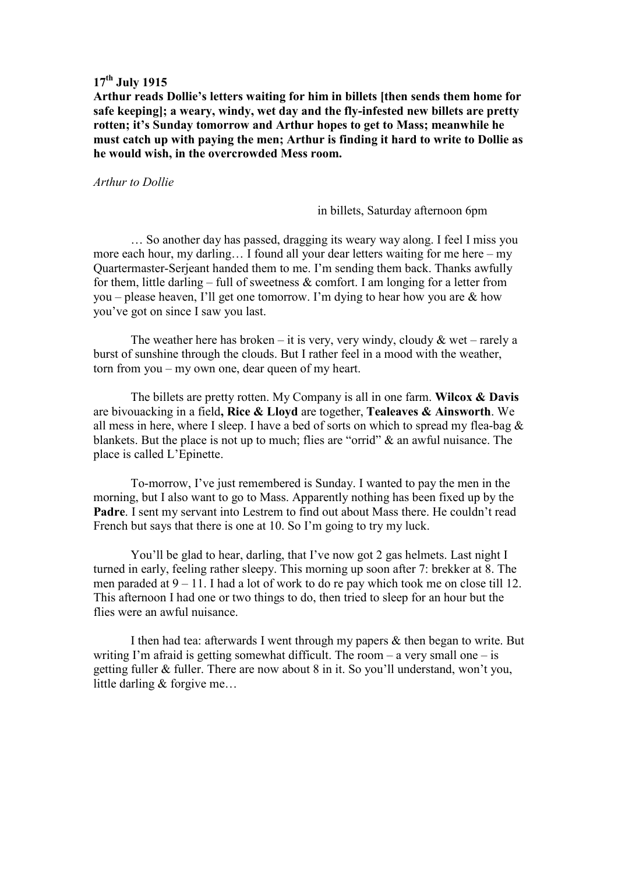**Arthur reads Dollie's letters waiting for him in billets [then sends them home for safe keeping]; a weary, windy, wet day and the fly-infested new billets are pretty rotten; it's Sunday tomorrow and Arthur hopes to get to Mass; meanwhile he must catch up with paying the men; Arthur is finding it hard to write to Dollie as he would wish, in the overcrowded Mess room.** 

#### *Arthur to Dollie*

#### in billets, Saturday afternoon 6pm

 … So another day has passed, dragging its weary way along. I feel I miss you more each hour, my darling… I found all your dear letters waiting for me here – my Quartermaster-Serjeant handed them to me. I'm sending them back. Thanks awfully for them, little darling – full of sweetness & comfort. I am longing for a letter from you – please heaven, I'll get one tomorrow. I'm dying to hear how you are  $\&$  how you've got on since I saw you last.

The weather here has broken – it is very, very windy, cloudy  $&$  wet – rarely a burst of sunshine through the clouds. But I rather feel in a mood with the weather, torn from you – my own one, dear queen of my heart.

 The billets are pretty rotten. My Company is all in one farm. **Wilcox & Davis** are bivouacking in a field**, Rice & Lloyd** are together, **Tealeaves & Ainsworth**. We all mess in here, where I sleep. I have a bed of sorts on which to spread my flea-bag & blankets. But the place is not up to much; flies are "orrid" & an awful nuisance. The place is called L'Epinette.

 To-morrow, I've just remembered is Sunday. I wanted to pay the men in the morning, but I also want to go to Mass. Apparently nothing has been fixed up by the **Padre**. I sent my servant into Lestrem to find out about Mass there. He couldn't read French but says that there is one at 10. So I'm going to try my luck.

 You'll be glad to hear, darling, that I've now got 2 gas helmets. Last night I turned in early, feeling rather sleepy. This morning up soon after 7: brekker at 8. The men paraded at  $9 - 11$ . I had a lot of work to do re pay which took me on close till 12. This afternoon I had one or two things to do, then tried to sleep for an hour but the flies were an awful nuisance.

 I then had tea: afterwards I went through my papers & then began to write. But writing I'm afraid is getting somewhat difficult. The room  $-$  a very small one  $-$  is getting fuller & fuller. There are now about 8 in it. So you'll understand, won't you, little darling & forgive me…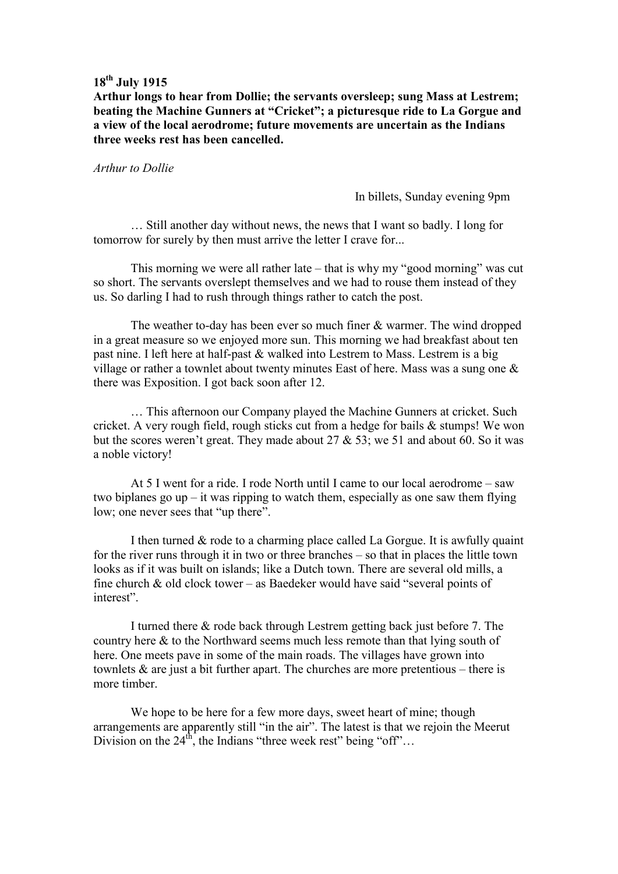**Arthur longs to hear from Dollie; the servants oversleep; sung Mass at Lestrem; beating the Machine Gunners at "Cricket"; a picturesque ride to La Gorgue and a view of the local aerodrome; future movements are uncertain as the Indians three weeks rest has been cancelled.** 

#### *Arthur to Dollie*

In billets, Sunday evening 9pm

 … Still another day without news, the news that I want so badly. I long for tomorrow for surely by then must arrive the letter I crave for...

 This morning we were all rather late – that is why my "good morning" was cut so short. The servants overslept themselves and we had to rouse them instead of they us. So darling I had to rush through things rather to catch the post.

 The weather to-day has been ever so much finer & warmer. The wind dropped in a great measure so we enjoyed more sun. This morning we had breakfast about ten past nine. I left here at half-past & walked into Lestrem to Mass. Lestrem is a big village or rather a townlet about twenty minutes East of here. Mass was a sung one & there was Exposition. I got back soon after 12.

 … This afternoon our Company played the Machine Gunners at cricket. Such cricket. A very rough field, rough sticks cut from a hedge for bails & stumps! We won but the scores weren't great. They made about 27 & 53; we 51 and about 60. So it was a noble victory!

 At 5 I went for a ride. I rode North until I came to our local aerodrome – saw two biplanes go up – it was ripping to watch them, especially as one saw them flying low; one never sees that "up there".

I then turned  $&$  rode to a charming place called La Gorgue. It is awfully quaint for the river runs through it in two or three branches – so that in places the little town looks as if it was built on islands; like a Dutch town. There are several old mills, a fine church  $\&$  old clock tower – as Baedeker would have said "several points of interest".

 I turned there & rode back through Lestrem getting back just before 7. The country here & to the Northward seems much less remote than that lying south of here. One meets pave in some of the main roads. The villages have grown into townlets & are just a bit further apart. The churches are more pretentious – there is more timber.

 We hope to be here for a few more days, sweet heart of mine; though arrangements are apparently still "in the air". The latest is that we rejoin the Meerut Division on the  $24^{\text{th}}$ , the Indians "three week rest" being "off"...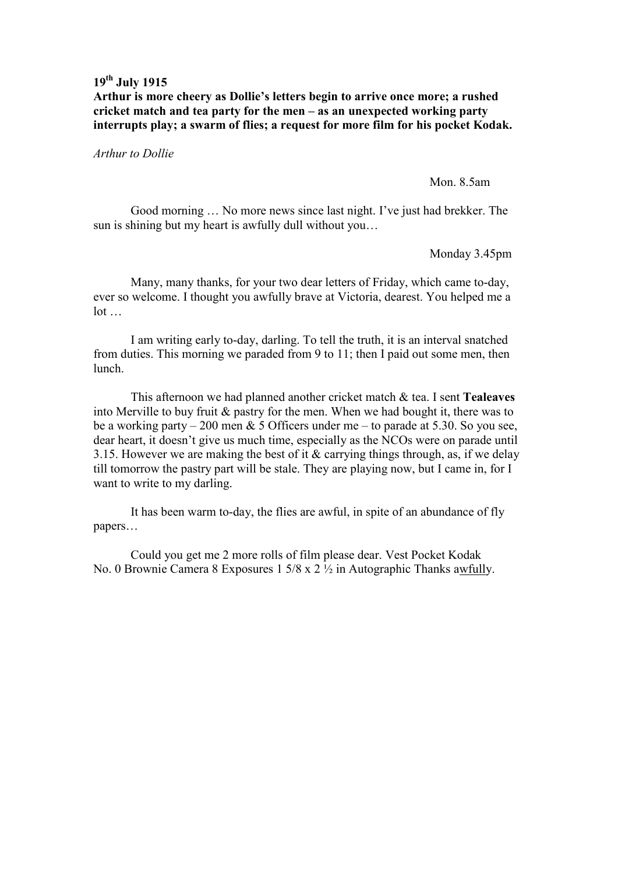### **Arthur is more cheery as Dollie's letters begin to arrive once more; a rushed cricket match and tea party for the men – as an unexpected working party interrupts play; a swarm of flies; a request for more film for his pocket Kodak.**

*Arthur to Dollie* 

Mon. 8.5am

 Good morning … No more news since last night. I've just had brekker. The sun is shining but my heart is awfully dull without you…

Monday 3.45pm

 Many, many thanks, for your two dear letters of Friday, which came to-day, ever so welcome. I thought you awfully brave at Victoria, dearest. You helped me a lot …

 I am writing early to-day, darling. To tell the truth, it is an interval snatched from duties. This morning we paraded from 9 to 11; then I paid out some men, then lunch.

 This afternoon we had planned another cricket match & tea. I sent **Tealeaves** into Merville to buy fruit & pastry for the men. When we had bought it, there was to be a working party – 200 men  $& 5$  Officers under me – to parade at 5.30. So you see, dear heart, it doesn't give us much time, especially as the NCOs were on parade until 3.15. However we are making the best of it  $&$  carrying things through, as, if we delay till tomorrow the pastry part will be stale. They are playing now, but I came in, for I want to write to my darling.

 It has been warm to-day, the flies are awful, in spite of an abundance of fly papers…

Could you get me 2 more rolls of film please dear. Vest Pocket Kodak No. 0 Brownie Camera 8 Exposures 1 5/8 x 2 ½ in Autographic Thanks awfully.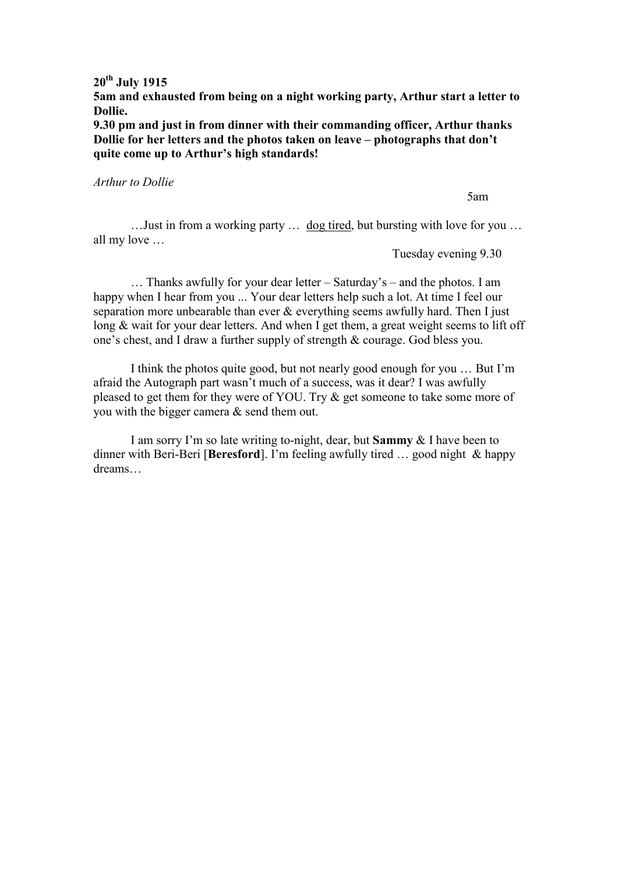**5am and exhausted from being on a night working party, Arthur start a letter to Dollie.** 

**9.30 pm and just in from dinner with their commanding officer, Arthur thanks Dollie for her letters and the photos taken on leave – photographs that don't quite come up to Arthur's high standards!** 

#### *Arthur to Dollie*

5am

…Just in from a working party … dog tired, but bursting with love for you … all my love …

Tuesday evening 9.30

 … Thanks awfully for your dear letter – Saturday's – and the photos. I am happy when I hear from you ... Your dear letters help such a lot. At time I feel our separation more unbearable than ever & everything seems awfully hard. Then I just long & wait for your dear letters. And when I get them, a great weight seems to lift off one's chest, and I draw a further supply of strength & courage. God bless you.

 I think the photos quite good, but not nearly good enough for you … But I'm afraid the Autograph part wasn't much of a success, was it dear? I was awfully pleased to get them for they were of YOU. Try & get someone to take some more of you with the bigger camera & send them out.

 I am sorry I'm so late writing to-night, dear, but **Sammy** & I have been to dinner with Beri-Beri [**Beresford**]. I'm feeling awfully tired … good night & happy dreams…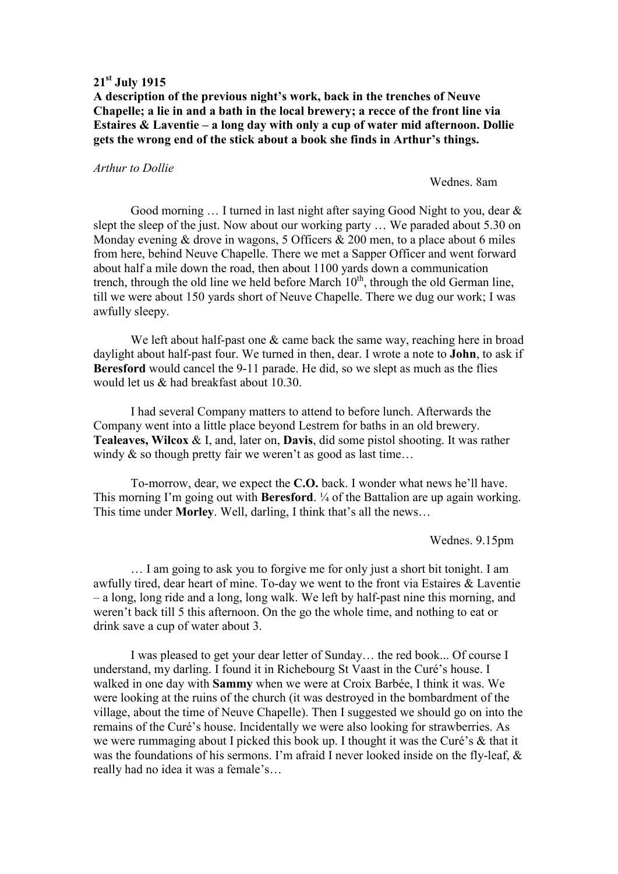#### **21st July 1915**

**A description of the previous night's work, back in the trenches of Neuve Chapelle; a lie in and a bath in the local brewery; a recce of the front line via Estaires & Laventie – a long day with only a cup of water mid afternoon. Dollie gets the wrong end of the stick about a book she finds in Arthur's things.** 

#### *Arthur to Dollie*

Wednes. 8am

 Good morning … I turned in last night after saying Good Night to you, dear & slept the sleep of the just. Now about our working party … We paraded about 5.30 on Monday evening & drove in wagons, 5 Officers & 200 men, to a place about 6 miles from here, behind Neuve Chapelle. There we met a Sapper Officer and went forward about half a mile down the road, then about 1100 yards down a communication trench, through the old line we held before March 10<sup>th</sup>, through the old German line, till we were about 150 yards short of Neuve Chapelle. There we dug our work; I was awfully sleepy.

We left about half-past one & came back the same way, reaching here in broad daylight about half-past four. We turned in then, dear. I wrote a note to **John**, to ask if **Beresford** would cancel the 9-11 parade. He did, so we slept as much as the flies would let us & had breakfast about 10.30.

 I had several Company matters to attend to before lunch. Afterwards the Company went into a little place beyond Lestrem for baths in an old brewery. **Tealeaves, Wilcox** & I, and, later on, **Davis**, did some pistol shooting. It was rather windy  $\&$  so though pretty fair we weren't as good as last time...

 To-morrow, dear, we expect the **C.O.** back. I wonder what news he'll have. This morning I'm going out with **Beresford**. ¼ of the Battalion are up again working. This time under **Morley**. Well, darling, I think that's all the news…

Wednes. 9.15pm

 … I am going to ask you to forgive me for only just a short bit tonight. I am awfully tired, dear heart of mine. To-day we went to the front via Estaires & Laventie – a long, long ride and a long, long walk. We left by half-past nine this morning, and weren't back till 5 this afternoon. On the go the whole time, and nothing to eat or drink save a cup of water about 3.

 I was pleased to get your dear letter of Sunday… the red book... Of course I understand, my darling. I found it in Richebourg St Vaast in the Curé's house. I walked in one day with **Sammy** when we were at Croix Barbée, I think it was. We were looking at the ruins of the church (it was destroyed in the bombardment of the village, about the time of Neuve Chapelle). Then I suggested we should go on into the remains of the Curé's house. Incidentally we were also looking for strawberries. As we were rummaging about I picked this book up. I thought it was the Curé's & that it was the foundations of his sermons. I'm afraid I never looked inside on the fly-leaf, & really had no idea it was a female's…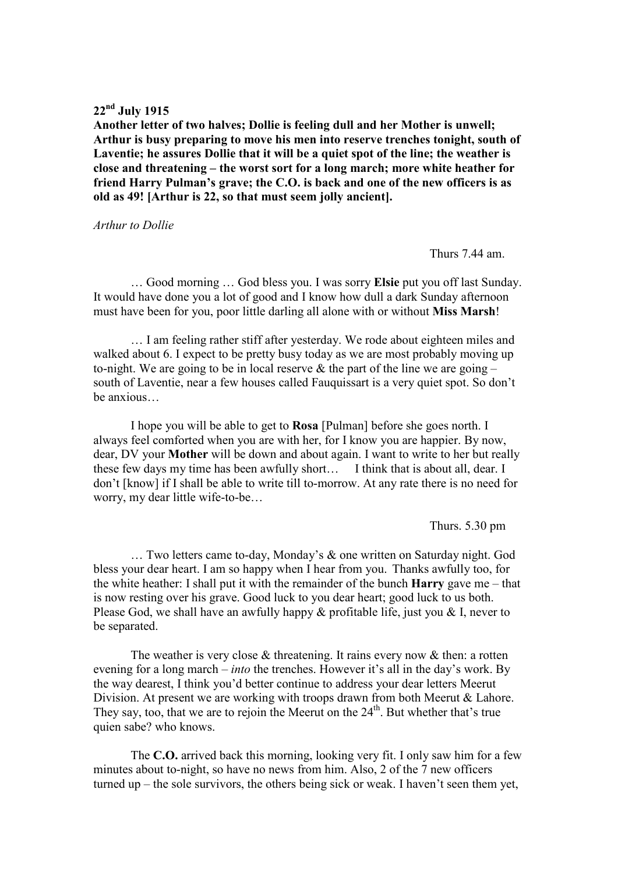**22nd July 1915** 

**Another letter of two halves; Dollie is feeling dull and her Mother is unwell; Arthur is busy preparing to move his men into reserve trenches tonight, south of Laventie; he assures Dollie that it will be a quiet spot of the line; the weather is close and threatening – the worst sort for a long march; more white heather for friend Harry Pulman's grave; the C.O. is back and one of the new officers is as old as 49! [Arthur is 22, so that must seem jolly ancient].** 

*Arthur to Dollie* 

Thurs 7.44 am.

… Good morning … God bless you. I was sorry **Elsie** put you off last Sunday. It would have done you a lot of good and I know how dull a dark Sunday afternoon must have been for you, poor little darling all alone with or without **Miss Marsh**!

 … I am feeling rather stiff after yesterday. We rode about eighteen miles and walked about 6. I expect to be pretty busy today as we are most probably moving up to-night. We are going to be in local reserve  $\&$  the part of the line we are going – south of Laventie, near a few houses called Fauquissart is a very quiet spot. So don't be anxious…

 I hope you will be able to get to **Rosa** [Pulman] before she goes north. I always feel comforted when you are with her, for I know you are happier. By now, dear, DV your **Mother** will be down and about again. I want to write to her but really these few days my time has been awfully short… I think that is about all, dear. I don't [know] if I shall be able to write till to-morrow. At any rate there is no need for worry, my dear little wife-to-be…

Thurs. 5.30 pm

 … Two letters came to-day, Monday's & one written on Saturday night. God bless your dear heart. I am so happy when I hear from you. Thanks awfully too, for the white heather: I shall put it with the remainder of the bunch **Harry** gave me – that is now resting over his grave. Good luck to you dear heart; good luck to us both. Please God, we shall have an awfully happy & profitable life, just you & I, never to be separated.

The weather is very close  $\&$  threatening. It rains every now  $\&$  then: a rotten evening for a long march – *into* the trenches. However it's all in the day's work. By the way dearest, I think you'd better continue to address your dear letters Meerut Division. At present we are working with troops drawn from both Meerut & Lahore. They say, too, that we are to rejoin the Meerut on the  $24<sup>th</sup>$ . But whether that's true quien sabe? who knows.

 The **C.O.** arrived back this morning, looking very fit. I only saw him for a few minutes about to-night, so have no news from him. Also, 2 of the 7 new officers turned up – the sole survivors, the others being sick or weak. I haven't seen them yet,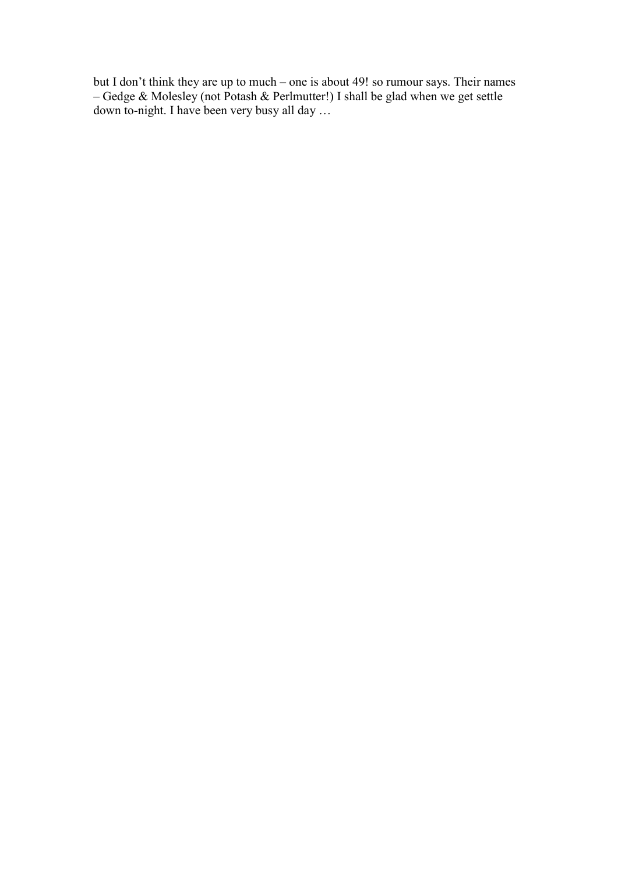but I don't think they are up to much – one is about 49! so rumour says. Their names – Gedge & Molesley (not Potash & Perlmutter!) I shall be glad when we get settle down to-night. I have been very busy all day …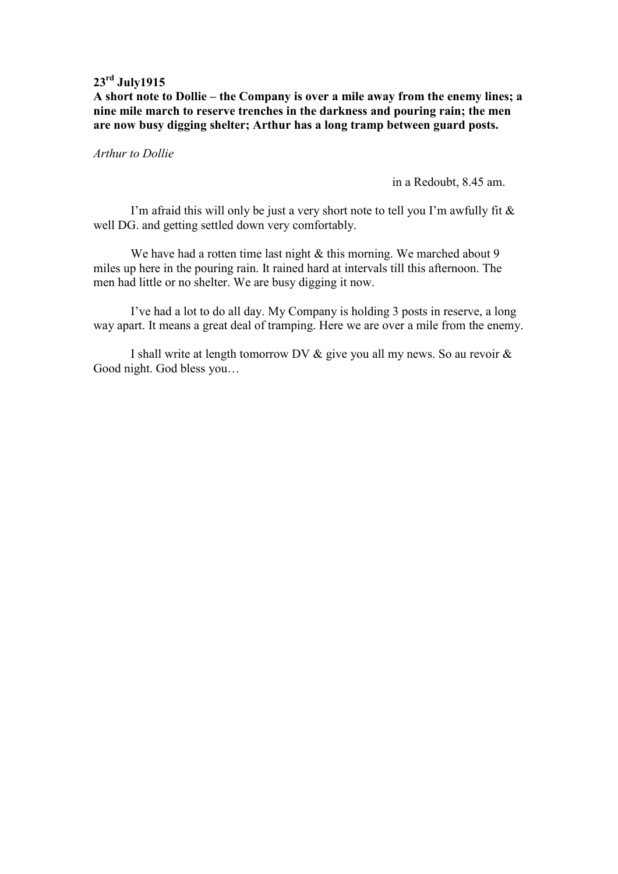# **23rd July1915**

### **A short note to Dollie – the Company is over a mile away from the enemy lines; a nine mile march to reserve trenches in the darkness and pouring rain; the men are now busy digging shelter; Arthur has a long tramp between guard posts.**

*Arthur to Dollie* 

in a Redoubt, 8.45 am.

 I'm afraid this will only be just a very short note to tell you I'm awfully fit & well DG. and getting settled down very comfortably.

We have had a rotten time last night & this morning. We marched about 9 miles up here in the pouring rain. It rained hard at intervals till this afternoon. The men had little or no shelter. We are busy digging it now.

 I've had a lot to do all day. My Company is holding 3 posts in reserve, a long way apart. It means a great deal of tramping. Here we are over a mile from the enemy.

 I shall write at length tomorrow DV & give you all my news. So au revoir & Good night. God bless you…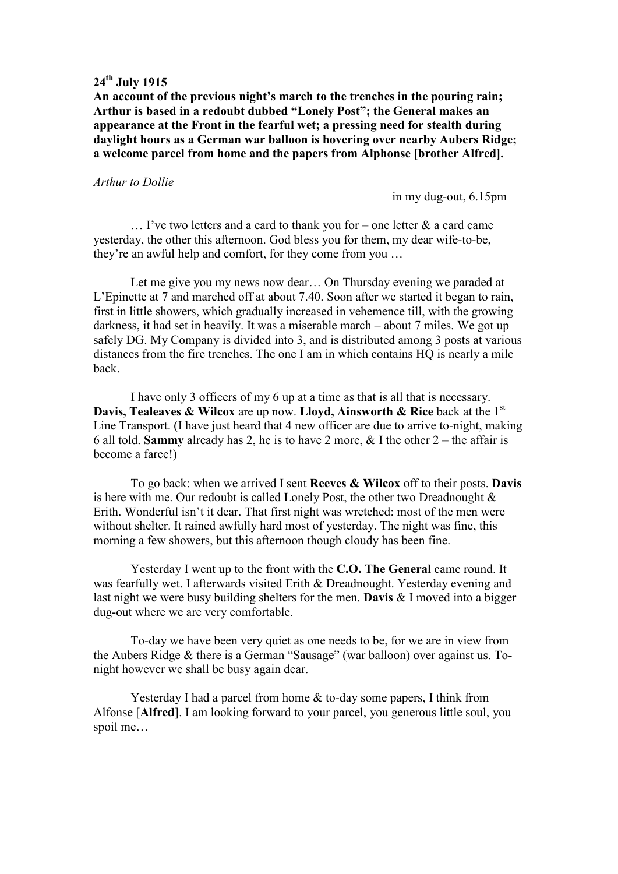**An account of the previous night's march to the trenches in the pouring rain; Arthur is based in a redoubt dubbed "Lonely Post"; the General makes an appearance at the Front in the fearful wet; a pressing need for stealth during daylight hours as a German war balloon is hovering over nearby Aubers Ridge; a welcome parcel from home and the papers from Alphonse [brother Alfred].** 

#### *Arthur to Dollie*

in my dug-out, 6.15pm

 $\ldots$  I've two letters and a card to thank you for – one letter  $\&$  a card came yesterday, the other this afternoon. God bless you for them, my dear wife-to-be, they're an awful help and comfort, for they come from you …

 Let me give you my news now dear… On Thursday evening we paraded at L'Epinette at 7 and marched off at about 7.40. Soon after we started it began to rain, first in little showers, which gradually increased in vehemence till, with the growing darkness, it had set in heavily. It was a miserable march – about 7 miles. We got up safely DG. My Company is divided into 3, and is distributed among 3 posts at various distances from the fire trenches. The one I am in which contains HQ is nearly a mile back.

 I have only 3 officers of my 6 up at a time as that is all that is necessary. **Davis, Tealeaves & Wilcox** are up now. **Lloyd, Ainsworth & Rice** back at the 1<sup>st</sup> Line Transport. (I have just heard that 4 new officer are due to arrive to-night, making 6 all told. **Sammy** already has 2, he is to have 2 more, & I the other 2 – the affair is become a farce!)

To go back: when we arrived I sent **Reeves & Wilcox** off to their posts. **Davis**  is here with me. Our redoubt is called Lonely Post, the other two Dreadnought & Erith. Wonderful isn't it dear. That first night was wretched: most of the men were without shelter. It rained awfully hard most of yesterday. The night was fine, this morning a few showers, but this afternoon though cloudy has been fine.

 Yesterday I went up to the front with the **C.O. The General** came round. It was fearfully wet. I afterwards visited Erith & Dreadnought. Yesterday evening and last night we were busy building shelters for the men. **Davis** & I moved into a bigger dug-out where we are very comfortable.

 To-day we have been very quiet as one needs to be, for we are in view from the Aubers Ridge & there is a German "Sausage" (war balloon) over against us. Tonight however we shall be busy again dear.

 Yesterday I had a parcel from home & to-day some papers, I think from Alfonse [**Alfred**]. I am looking forward to your parcel, you generous little soul, you spoil me…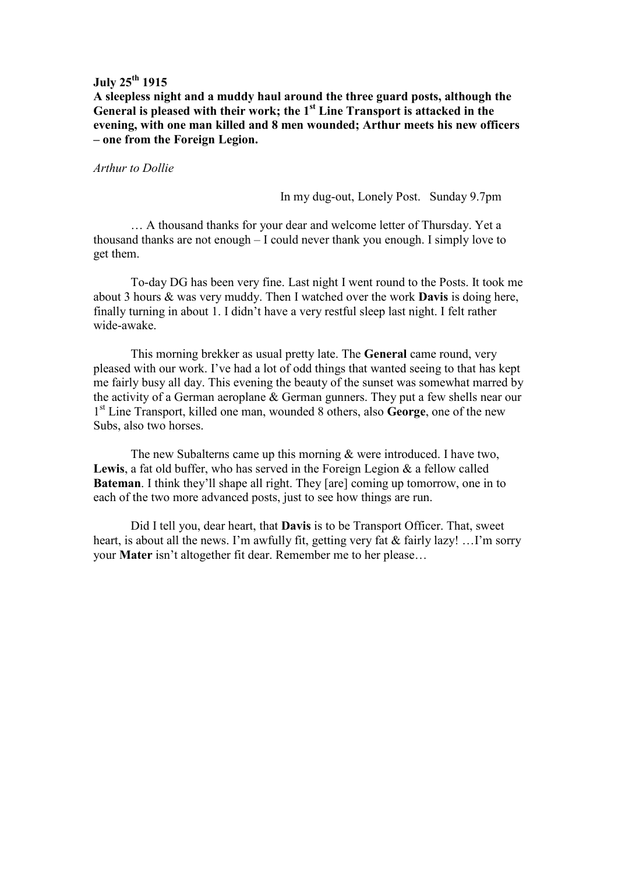# **July 25th 1915**

**A sleepless night and a muddy haul around the three guard posts, although the**  General is pleased with their work; the 1<sup>st</sup> Line Transport is attacked in the **evening, with one man killed and 8 men wounded; Arthur meets his new officers – one from the Foreign Legion.** 

*Arthur to Dollie* 

In my dug-out, Lonely Post. Sunday 9.7pm

 … A thousand thanks for your dear and welcome letter of Thursday. Yet a thousand thanks are not enough – I could never thank you enough. I simply love to get them.

 To-day DG has been very fine. Last night I went round to the Posts. It took me about 3 hours & was very muddy. Then I watched over the work **Davis** is doing here, finally turning in about 1. I didn't have a very restful sleep last night. I felt rather wide-awake.

 This morning brekker as usual pretty late. The **General** came round, very pleased with our work. I've had a lot of odd things that wanted seeing to that has kept me fairly busy all day. This evening the beauty of the sunset was somewhat marred by the activity of a German aeroplane & German gunners. They put a few shells near our 1 st Line Transport, killed one man, wounded 8 others, also **George**, one of the new Subs, also two horses.

 The new Subalterns came up this morning & were introduced. I have two, **Lewis**, a fat old buffer, who has served in the Foreign Legion & a fellow called **Bateman**. I think they'll shape all right. They [are] coming up tomorrow, one in to each of the two more advanced posts, just to see how things are run.

 Did I tell you, dear heart, that **Davis** is to be Transport Officer. That, sweet heart, is about all the news. I'm awfully fit, getting very fat & fairly lazy! …I'm sorry your **Mater** isn't altogether fit dear. Remember me to her please…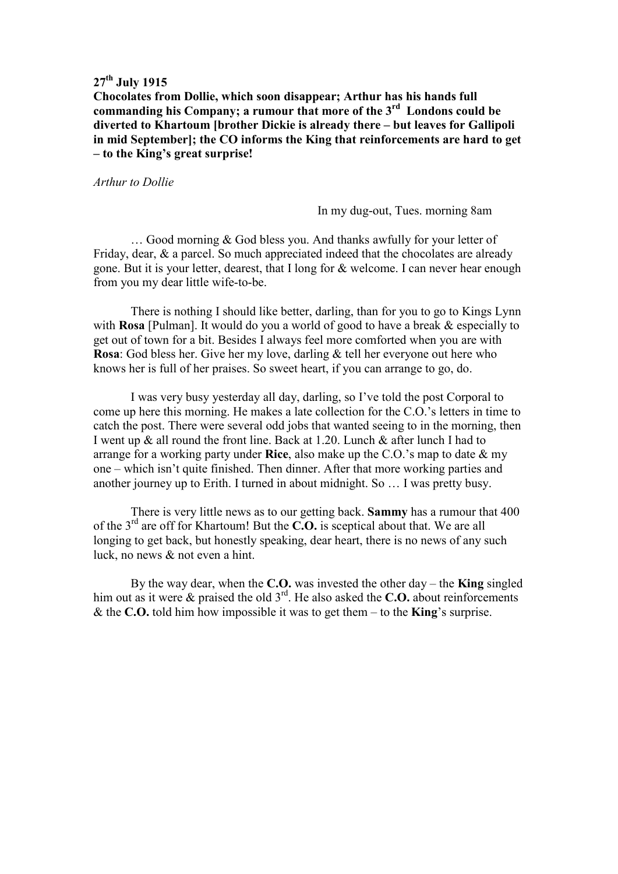### **Chocolates from Dollie, which soon disappear; Arthur has his hands full commanding his Company; a rumour that more of the 3rd Londons could be diverted to Khartoum [brother Dickie is already there – but leaves for Gallipoli in mid September]; the CO informs the King that reinforcements are hard to get – to the King's great surprise!**

*Arthur to Dollie* 

In my dug-out, Tues. morning 8am

 … Good morning & God bless you. And thanks awfully for your letter of Friday, dear, & a parcel. So much appreciated indeed that the chocolates are already gone. But it is your letter, dearest, that I long for & welcome. I can never hear enough from you my dear little wife-to-be.

 There is nothing I should like better, darling, than for you to go to Kings Lynn with **Rosa** [Pulman]. It would do you a world of good to have a break & especially to get out of town for a bit. Besides I always feel more comforted when you are with **Rosa**: God bless her. Give her my love, darling & tell her everyone out here who knows her is full of her praises. So sweet heart, if you can arrange to go, do.

 I was very busy yesterday all day, darling, so I've told the post Corporal to come up here this morning. He makes a late collection for the C.O.'s letters in time to catch the post. There were several odd jobs that wanted seeing to in the morning, then I went up & all round the front line. Back at 1.20. Lunch & after lunch I had to arrange for a working party under **Rice**, also make up the C.O.'s map to date & my one – which isn't quite finished. Then dinner. After that more working parties and another journey up to Erith. I turned in about midnight. So … I was pretty busy.

 There is very little news as to our getting back. **Sammy** has a rumour that 400 of the 3rd are off for Khartoum! But the **C.O.** is sceptical about that. We are all longing to get back, but honestly speaking, dear heart, there is no news of any such luck, no news & not even a hint.

 By the way dear, when the **C.O.** was invested the other day – the **King** singled him out as it were & praised the old 3<sup>rd</sup>. He also asked the **C.O.** about reinforcements & the **C.O.** told him how impossible it was to get them – to the **King**'s surprise.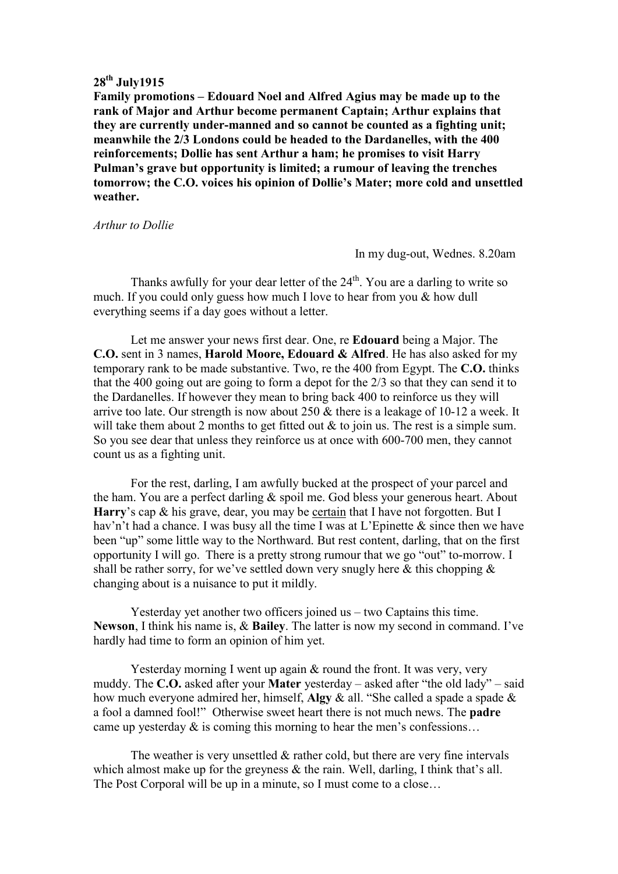**Family promotions – Edouard Noel and Alfred Agius may be made up to the rank of Major and Arthur become permanent Captain; Arthur explains that they are currently under-manned and so cannot be counted as a fighting unit; meanwhile the 2/3 Londons could be headed to the Dardanelles, with the 400 reinforcements; Dollie has sent Arthur a ham; he promises to visit Harry Pulman's grave but opportunity is limited; a rumour of leaving the trenches tomorrow; the C.O. voices his opinion of Dollie's Mater; more cold and unsettled weather.** 

#### *Arthur to Dollie*

In my dug-out, Wednes. 8.20am

Thanks awfully for your dear letter of the  $24<sup>th</sup>$ . You are a darling to write so much. If you could only guess how much I love to hear from you & how dull everything seems if a day goes without a letter.

 Let me answer your news first dear. One, re **Edouard** being a Major. The **C.O.** sent in 3 names, **Harold Moore, Edouard & Alfred**. He has also asked for my temporary rank to be made substantive. Two, re the 400 from Egypt. The **C.O.** thinks that the 400 going out are going to form a depot for the 2/3 so that they can send it to the Dardanelles. If however they mean to bring back 400 to reinforce us they will arrive too late. Our strength is now about 250  $&$  there is a leakage of 10-12 a week. It will take them about 2 months to get fitted out  $&$  to join us. The rest is a simple sum. So you see dear that unless they reinforce us at once with 600-700 men, they cannot count us as a fighting unit.

 For the rest, darling, I am awfully bucked at the prospect of your parcel and the ham. You are a perfect darling & spoil me. God bless your generous heart. About **Harry**'s cap & his grave, dear, you may be certain that I have not forgotten. But I hav'n't had a chance. I was busy all the time I was at L'Epinette & since then we have been "up" some little way to the Northward. But rest content, darling, that on the first opportunity I will go. There is a pretty strong rumour that we go "out" to-morrow. I shall be rather sorry, for we've settled down very snugly here  $\&$  this chopping  $\&$ changing about is a nuisance to put it mildly.

Yesterday yet another two officers joined us – two Captains this time. **Newson**, I think his name is, & **Bailey**. The latter is now my second in command. I've hardly had time to form an opinion of him yet.

 Yesterday morning I went up again & round the front. It was very, very muddy. The **C.O.** asked after your **Mater** yesterday – asked after "the old lady" – said how much everyone admired her, himself, **Algy** & all. "She called a spade a spade & a fool a damned fool!" Otherwise sweet heart there is not much news. The **padre** came up yesterday  $\&$  is coming this morning to hear the men's confessions...

The weather is very unsettled  $&$  rather cold, but there are very fine intervals which almost make up for the greyness & the rain. Well, darling, I think that's all. The Post Corporal will be up in a minute, so I must come to a close…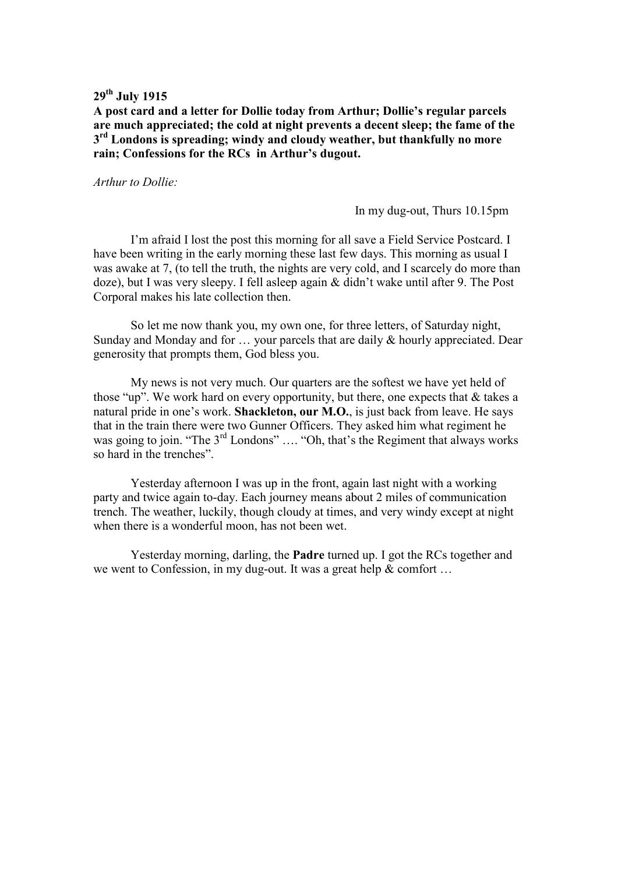### **A post card and a letter for Dollie today from Arthur; Dollie's regular parcels are much appreciated; the cold at night prevents a decent sleep; the fame of the 3 rd Londons is spreading; windy and cloudy weather, but thankfully no more rain; Confessions for the RCs in Arthur's dugout.**

*Arthur to Dollie:* 

In my dug-out, Thurs 10.15pm

 I'm afraid I lost the post this morning for all save a Field Service Postcard. I have been writing in the early morning these last few days. This morning as usual I was awake at 7, (to tell the truth, the nights are very cold, and I scarcely do more than doze), but I was very sleepy. I fell asleep again & didn't wake until after 9. The Post Corporal makes his late collection then.

 So let me now thank you, my own one, for three letters, of Saturday night, Sunday and Monday and for … your parcels that are daily & hourly appreciated. Dear generosity that prompts them, God bless you.

 My news is not very much. Our quarters are the softest we have yet held of those "up". We work hard on every opportunity, but there, one expects that  $\&$  takes a natural pride in one's work. **Shackleton, our M.O.**, is just back from leave. He says that in the train there were two Gunner Officers. They asked him what regiment he was going to join. "The  $3<sup>rd</sup>$  Londons" .... "Oh, that's the Regiment that always works so hard in the trenches".

 Yesterday afternoon I was up in the front, again last night with a working party and twice again to-day. Each journey means about 2 miles of communication trench. The weather, luckily, though cloudy at times, and very windy except at night when there is a wonderful moon, has not been wet.

 Yesterday morning, darling, the **Padre** turned up. I got the RCs together and we went to Confession, in my dug-out. It was a great help & comfort …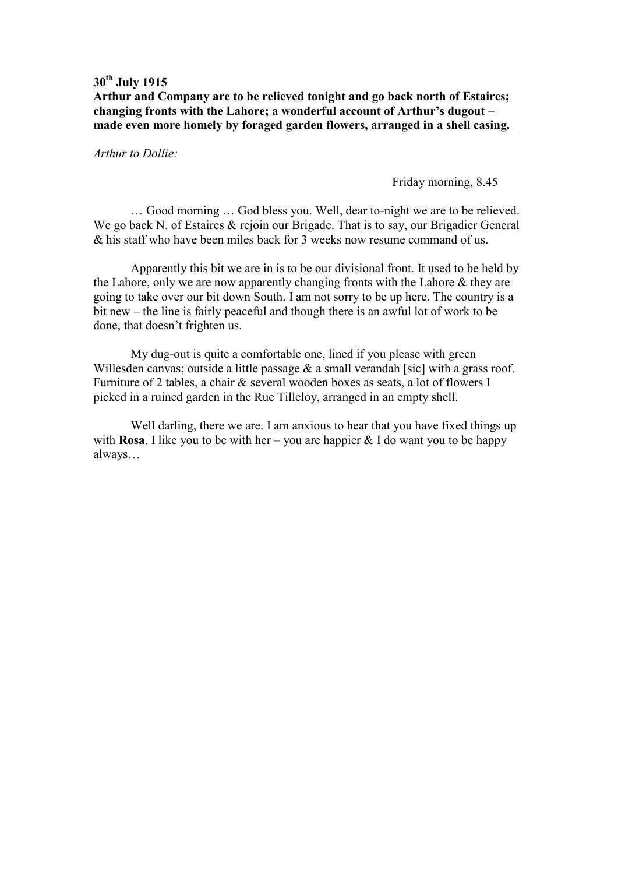### **Arthur and Company are to be relieved tonight and go back north of Estaires; changing fronts with the Lahore; a wonderful account of Arthur's dugout – made even more homely by foraged garden flowers, arranged in a shell casing.**

*Arthur to Dollie:* 

Friday morning, 8.45

 … Good morning … God bless you. Well, dear to-night we are to be relieved. We go back N. of Estaires & rejoin our Brigade. That is to say, our Brigadier General & his staff who have been miles back for 3 weeks now resume command of us.

 Apparently this bit we are in is to be our divisional front. It used to be held by the Lahore, only we are now apparently changing fronts with the Lahore & they are going to take over our bit down South. I am not sorry to be up here. The country is a bit new – the line is fairly peaceful and though there is an awful lot of work to be done, that doesn't frighten us.

 My dug-out is quite a comfortable one, lined if you please with green Willesden canvas; outside a little passage & a small verandah [sic] with a grass roof. Furniture of 2 tables, a chair & several wooden boxes as seats, a lot of flowers I picked in a ruined garden in the Rue Tilleloy, arranged in an empty shell.

Well darling, there we are. I am anxious to hear that you have fixed things up with **Rosa**. I like you to be with her – you are happier  $\&$  I do want you to be happy always…